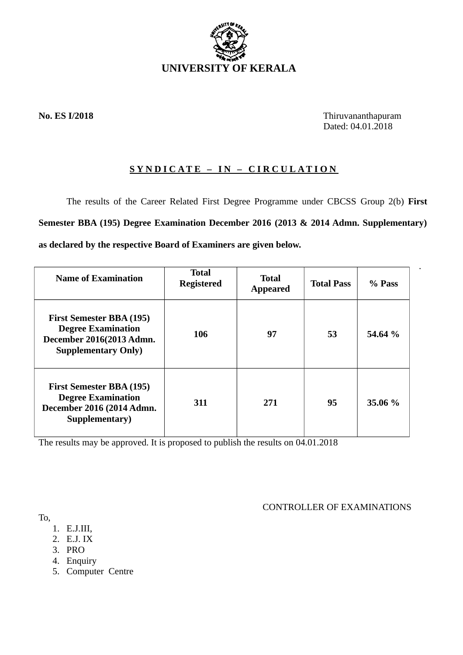

**No. ES I/2018** Thiruvananthapuram Dated: 04.01.2018

.

# **SYNDICATE – IN – CIRCULATION**

The results of the Career Related First Degree Programme under CBCSS Group 2(b) **First Semester BBA (195) Degree Examination December 2016 (2013 & 2014 Admn. Supplementary) as declared by the respective Board of Examiners are given below.**

| <b>Name of Examination</b>                                                                                             | <b>Total</b><br><b>Registered</b> | <b>Total</b><br><b>Appeared</b> | <b>Total Pass</b> | % Pass  |
|------------------------------------------------------------------------------------------------------------------------|-----------------------------------|---------------------------------|-------------------|---------|
| <b>First Semester BBA (195)</b><br><b>Degree Examination</b><br>December 2016(2013 Admn.<br><b>Supplementary Only)</b> | 106                               | 97                              | 53                | 54.64 % |
| <b>First Semester BBA (195)</b><br><b>Degree Examination</b><br>December 2016 (2014 Admn.<br>Supplementary)            | 311                               | 271                             | 95                | 35.06 % |

The results may be approved. It is proposed to publish the results on 04.01.2018

CONTROLLER OF EXAMINATIONS

- To,
	- 1. E.J.III,
	- 2. E.J. IX
	- 3. PRO
	- 4. Enquiry
	- 5. Computer Centre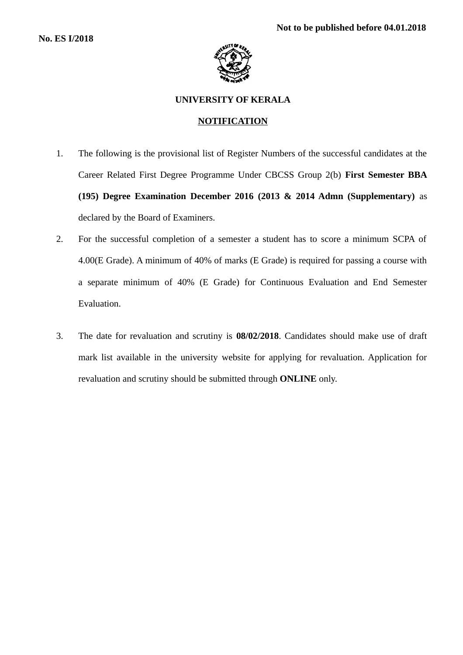

## **UNIVERSITY OF KERALA**

## **NOTIFICATION**

- 1. The following is the provisional list of Register Numbers of the successful candidates at the Career Related First Degree Programme Under CBCSS Group 2(b) **First Semester BBA (195) Degree Examination December 2016 (2013 & 2014 Admn (Supplementary)** as declared by the Board of Examiners.
- 2. For the successful completion of a semester a student has to score a minimum SCPA of 4.00(E Grade). A minimum of 40% of marks (E Grade) is required for passing a course with a separate minimum of 40% (E Grade) for Continuous Evaluation and End Semester Evaluation.
- 3. The date for revaluation and scrutiny is **08/02/2018**. Candidates should make use of draft mark list available in the university website for applying for revaluation. Application for revaluation and scrutiny should be submitted through **ONLINE** only.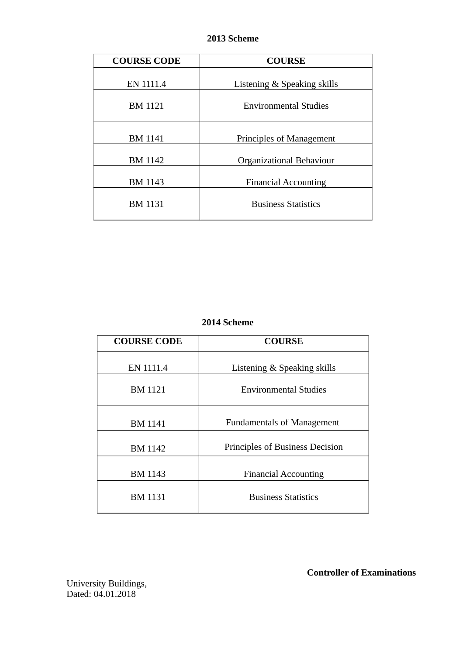# **2013 Scheme**

| <b>COURSE CODE</b> | <b>COURSE</b>                |  |
|--------------------|------------------------------|--|
| EN 1111.4          | Listening & Speaking skills  |  |
| <b>BM 1121</b>     | <b>Environmental Studies</b> |  |
| <b>BM</b> 1141     | Principles of Management     |  |
| <b>BM 1142</b>     | Organizational Behaviour     |  |
| <b>BM 1143</b>     | <b>Financial Accounting</b>  |  |
| <b>BM 1131</b>     | <b>Business Statistics</b>   |  |

# **2014 Scheme**

| <b>COURSE CODE</b> | <b>COURSE</b>                     |  |
|--------------------|-----------------------------------|--|
| EN 1111.4          | Listening & Speaking skills       |  |
| <b>BM 1121</b>     | <b>Environmental Studies</b>      |  |
| <b>BM 1141</b>     | <b>Fundamentals of Management</b> |  |
| BM 1142            | Principles of Business Decision   |  |
| <b>BM 1143</b>     | <b>Financial Accounting</b>       |  |
| <b>BM 1131</b>     | <b>Business Statistics</b>        |  |

 **Controller of Examinations**

University Buildings, Dated: 04.01.2018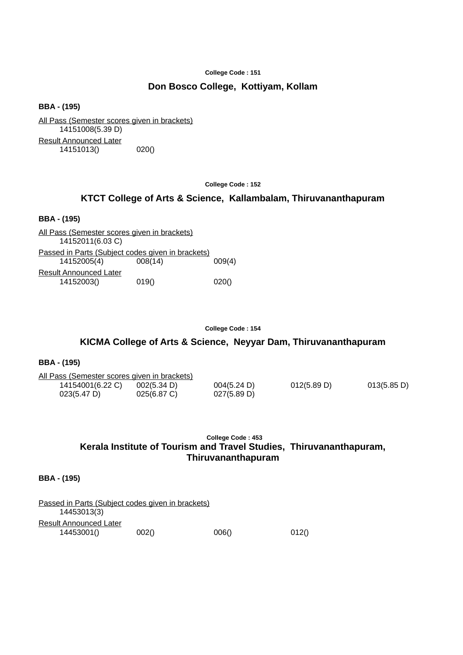## **Don Bosco College, Kottiyam, Kollam**

**BBA - (195)**

All Pass (Semester scores given in brackets) 14151008(5.39 D) Result Announced Later 14151013() 020()

**College Code : 152**

## **KTCT College of Arts & Science, Kallambalam, Thiruvananthapuram**

#### **BBA - (195)**

All Pass (Semester scores given in brackets) 14152011(6.03 C) Passed in Parts (Subject codes given in brackets) 14152005(4) 008(14) 009(4) Result Announced Later 14152003() 019() 020()

**College Code : 154**

## **KICMA College of Arts & Science, Neyyar Dam, Thiruvananthapuram**

### **BBA - (195)**

| All Pass (Semester scores given in brackets) |             |             |             |             |
|----------------------------------------------|-------------|-------------|-------------|-------------|
| 14154001(6.22 C)                             | 002(5.34 D) | 004(5.24 D) | 012(5.89 D) | 013(5.85 D) |
| 023(5.47 D)                                  | 025(6.87 C) | 027(5.89 D) |             |             |

## **College Code : 453 Kerala Institute of Tourism and Travel Studies, Thiruvananthapuram, Thiruvananthapuram**

| Passed in Parts (Subject codes given in brackets) |       |       |       |
|---------------------------------------------------|-------|-------|-------|
| 14453013(3)                                       |       |       |       |
| Result Announced Later                            |       |       |       |
| 14453001()                                        | 002() | 006() | 012() |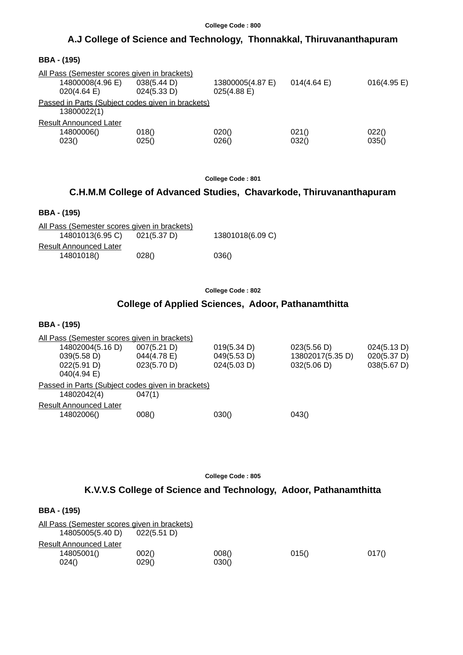# **A.J College of Science and Technology, Thonnakkal, Thiruvananthapuram**

| <b>BBA - (195)</b> |  |
|--------------------|--|
|--------------------|--|

| All Pass (Semester scores given in brackets)      |             |                  |                       |             |
|---------------------------------------------------|-------------|------------------|-----------------------|-------------|
| 14800008(4.96 E)                                  | 038(5.44 D) | 13800005(4.87 E) | $014(4.64 \text{ E})$ | 016(4.95 E) |
| 020(4.64)                                         | 024(5.33 D) | $025(4.88)$ E)   |                       |             |
| Passed in Parts (Subject codes given in brackets) |             |                  |                       |             |
| 13800022(1)                                       |             |                  |                       |             |
| <b>Result Announced Later</b>                     |             |                  |                       |             |
| 14800006()                                        | 018()       | 020()            | 021()                 | 022()       |
| 023()                                             | 025()       | 026()            | 032()                 | 035()       |

**College Code : 801**

# **C.H.M.M College of Advanced Studies, Chavarkode, Thiruvananthapuram**

## **BBA - (195)**

| All Pass (Semester scores given in brackets) |             |                  |
|----------------------------------------------|-------------|------------------|
| 14801013(6.95 C)                             | 021(5.37 D) | 13801018(6.09 C) |
| <b>Result Announced Later</b>                |             |                  |
| 14801018()                                   | 028()       | 036()            |

**College Code : 802**

# **College of Applied Sciences, Adoor, Pathanamthitta**

## **BBA - (195)**

| All Pass (Semester scores given in brackets)      |             |             |                  |             |
|---------------------------------------------------|-------------|-------------|------------------|-------------|
| 14802004(5.16 D)                                  | 007(5.21 D) | 019(5.34 D) | 023(5.56 D)      | 024(5.13 D) |
| 039(5.58 D)                                       | 044(4.78 E) | 049(5.53 D) | 13802017(5.35 D) | 020(5.37 D) |
| 022(5.91 D)                                       | 023(5.70 D) | 024(5.03 D) | 032(5.06 D)      | 038(5.67 D) |
| $040(4.94)$ E)                                    |             |             |                  |             |
| Passed in Parts (Subject codes given in brackets) |             |             |                  |             |
| 14802042(4)                                       | 047(1)      |             |                  |             |
| <b>Result Announced Later</b>                     |             |             |                  |             |
| 14802006()                                        | 008()       | 030()       | 043()            |             |
|                                                   |             |             |                  |             |

**College Code : 805**

## **K.V.V.S College of Science and Technology, Adoor, Pathanamthitta**

| <b>BBA - (195)</b>                                               |             |       |       |       |
|------------------------------------------------------------------|-------------|-------|-------|-------|
| All Pass (Semester scores given in brackets)<br>14805005(5.40 D) | 022(5.51 D) |       |       |       |
| <b>Result Announced Later</b>                                    |             |       |       |       |
| 14805001()                                                       | 002()       | 008() | 015() | 017() |
| 024()                                                            | 029()       | 030() |       |       |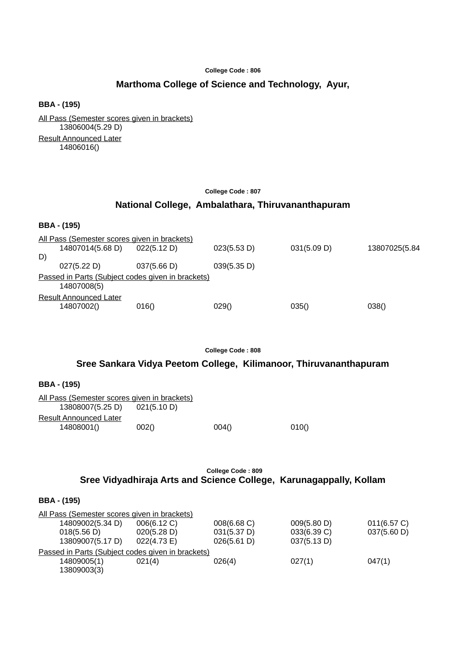# **Marthoma College of Science and Technology, Ayur,**

**BBA - (195)**

All Pass (Semester scores given in brackets) 13806004(5.29 D) Result Announced Later 14806016()

### **College Code : 807**

# **National College, Ambalathara, Thiruvananthapuram**

#### **BBA - (195)**

|    | All Pass (Semester scores given in brackets) |                                                   |             |             |               |
|----|----------------------------------------------|---------------------------------------------------|-------------|-------------|---------------|
|    | 14807014(5.68 D)                             | 022(5.12 D)                                       | 023(5.53 D) | 031(5.09 D) | 13807025(5.84 |
| D) |                                              |                                                   |             |             |               |
|    | 027(5.22 D)                                  | 037(5.66 D)                                       | 039(5.35 D) |             |               |
|    | 14807008(5)                                  | Passed in Parts (Subject codes given in brackets) |             |             |               |
|    | <b>Result Announced Later</b><br>14807002()  | 016()                                             | 029()       | 035()       | 038()         |
|    |                                              |                                                   |             |             |               |

**College Code : 808**

## **Sree Sankara Vidya Peetom College, Kilimanoor, Thiruvananthapuram**

**BBA - (195)**

| All Pass (Semester scores given in brackets) |       |       |       |
|----------------------------------------------|-------|-------|-------|
| 13808007(5.25 D) 021(5.10 D)                 |       |       |       |
| <b>Result Announced Later</b>                |       |       |       |
| 14808001()                                   | 002() | 004() | 010() |

## **College Code : 809 Sree Vidyadhiraja Arts and Science College, Karunagappally, Kollam**

| All Pass (Semester scores given in brackets) |                                                   |             |             |             |
|----------------------------------------------|---------------------------------------------------|-------------|-------------|-------------|
| 14809002(5.34 D)                             | 006(6.12 C)                                       | 008(6.68 C) | 009(5.80 D) | 011(6.57 C) |
| 018(5.56 D)                                  | 020(5.28 D)                                       | 031(5.37 D) | 033(6.39 C) | 037(5.60 D) |
| 13809007(5.17 D)                             | 022(4.73 E)                                       | 026(5.61 D) | 037(5.13 D) |             |
|                                              | Passed in Parts (Subject codes given in brackets) |             |             |             |
| 14809005(1)                                  | 021(4)                                            | 026(4)      | 027(1)      | 047(1)      |
| 13809003(3)                                  |                                                   |             |             |             |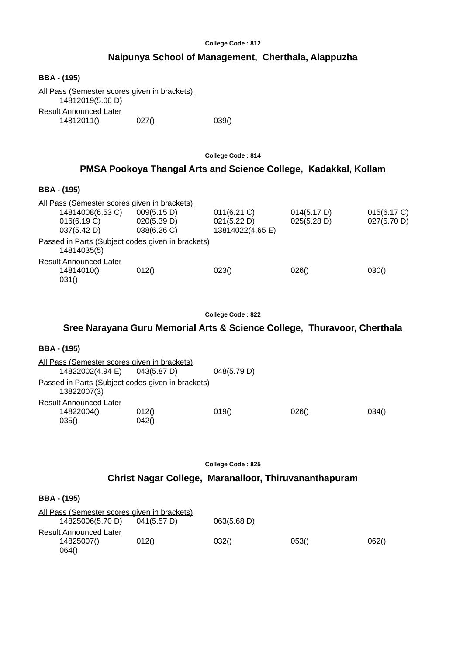# **Naipunya School of Management, Cherthala, Alappuzha**

| <b>BBA - (195)</b>                                                      |       |       |  |
|-------------------------------------------------------------------------|-------|-------|--|
| <u>All Pass (Semester scores given in brackets)</u><br>14812019(5.06 D) |       |       |  |
| <b>Result Announced Later</b>                                           |       |       |  |
| 14812011()                                                              | 027() | 039() |  |

**College Code : 814**

# **PMSA Pookoya Thangal Arts and Science College, Kadakkal, Kollam**

### **BBA - (195)**

| All Pass (Semester scores given in brackets) |                                                   |                  |             |             |
|----------------------------------------------|---------------------------------------------------|------------------|-------------|-------------|
| 14814008(6.53 C)                             | 009(5.15 D)                                       | $011(6.21)$ C)   | 014(5.17 D) | 015(6.17 C) |
| 016(6.19 C)                                  | 020(5.39 D)                                       | 021(5.22 D)      | 025(5.28 D) | 027(5.70 D) |
| 037(5.42 D)                                  | 038(6.26 C)                                       | 13814022(4.65 E) |             |             |
| 14814035(5)                                  | Passed in Parts (Subject codes given in brackets) |                  |             |             |
| <b>Result Announced Later</b><br>14814010()  | 012()                                             | 023()            | 026()       | 030()       |
| 031()                                        |                                                   |                  |             |             |

**College Code : 822**

## **Sree Narayana Guru Memorial Arts & Science College, Thuravoor, Cherthala**

## **BBA - (195)**

| All Pass (Semester scores given in brackets)                     |                |             |       |       |
|------------------------------------------------------------------|----------------|-------------|-------|-------|
| 14822002(4.94 E)                                                 | 043(5.87 D)    | 048(5.79 D) |       |       |
| Passed in Parts (Subject codes given in brackets)<br>13822007(3) |                |             |       |       |
| Result Announced Later                                           |                |             |       |       |
| 14822004()<br>035()                                              | 012()<br>042() | 019()       | 026() | 034() |

**College Code : 825**

# **Christ Nagar College, Maranalloor, Thiruvananthapuram**

| All Pass (Semester scores given in brackets) |             |             |       |       |
|----------------------------------------------|-------------|-------------|-------|-------|
| 14825006(5.70 D)                             | 041(5.57 D) | 063(5.68 D) |       |       |
| Result Announced Later                       |             |             |       |       |
| 14825007()                                   | 012()       | 032()       | 053() | 062() |
| 064()                                        |             |             |       |       |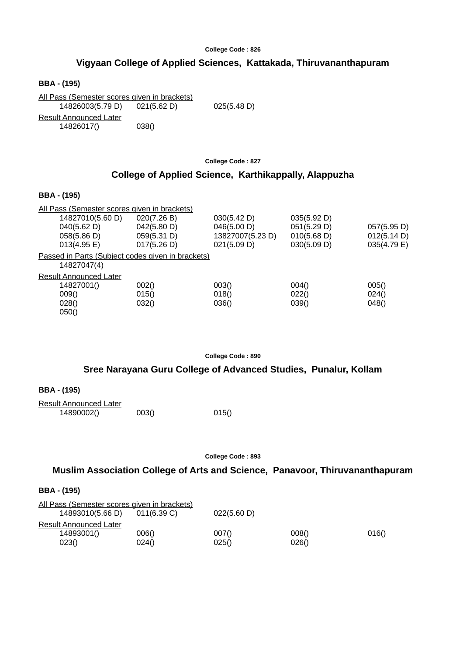## **Vigyaan College of Applied Sciences, Kattakada, Thiruvananthapuram**

**BBA - (195)**

All Pass (Semester scores given in brackets) 14826003(5.79 D) 021(5.62 D) 025(5.48 D) Result Announced Later 14826017() 038()

**College Code : 827**

## **College of Applied Science, Karthikappally, Alappuzha**

### **BBA - (195)**

| All Pass (Semester scores given in brackets)      |             |                  |             |             |
|---------------------------------------------------|-------------|------------------|-------------|-------------|
| 14827010(5.60 D)                                  | 020(7.26 B) | 030(5.42 D)      | 035(5.92 D) |             |
| 040(5.62 D)                                       | 042(5.80 D) | 046(5.00 D)      | 051(5.29 D) | 057(5.95 D) |
| 058(5.86 D)                                       | 059(5.31 D) | 13827007(5.23 D) | 010(5.68 D) | 012(5.14 D) |
| $013(4.95 \text{ E})$                             | 017(5.26 D) | 021(5.09 D)      | 030(5.09 D) | 035(4.79 E) |
| Passed in Parts (Subject codes given in brackets) |             |                  |             |             |
| 14827047(4)                                       |             |                  |             |             |
| Result Announced Later                            |             |                  |             |             |
| 14827001()                                        | 002()       | 003()            | 004()       | 005()       |
| 009()                                             | 015()       | 018()            | 022()       | 024()       |
| 028()                                             | 032()       | 036()            | 039()       | 048()       |
| 050()                                             |             |                  |             |             |

**College Code : 890**

### **Sree Narayana Guru College of Advanced Studies, Punalur, Kollam**

| <b>BBA - (195)</b> |  |
|--------------------|--|
|--------------------|--|

| <b>Result Announced Later</b> |       |       |
|-------------------------------|-------|-------|
| 14890002()                    | 003() | 015() |

**College Code : 893**

## **Muslim Association College of Arts and Science, Panavoor, Thiruvananthapuram**

| All Pass (Semester scores given in brackets) |             |             |       |       |
|----------------------------------------------|-------------|-------------|-------|-------|
| 14893010(5.66 D)                             | 011(6.39 C) | 022(5.60 D) |       |       |
| Result Announced Later                       |             |             |       |       |
| 14893001()                                   | 006()       | 007()       | 008() | 016() |
| 023()                                        | 024()       | 025()       | 026() |       |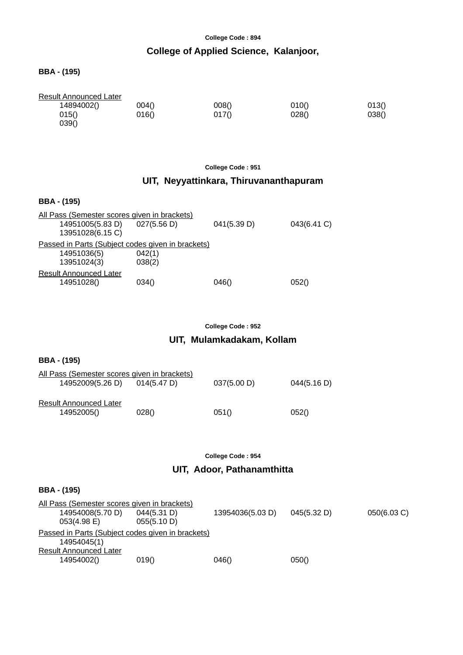# **College of Applied Science, Kalanjoor,**

## **BBA - (195)**

| <b>Result Announced Later</b> |       |       |       |       |
|-------------------------------|-------|-------|-------|-------|
| 14894002()                    | 004() | 008() | 010() | 013() |
| 015()                         | 016() | 017() | 028() | 038() |
| 039()                         |       |       |       |       |

## **College Code : 951**

# **UIT, Neyyattinkara, Thiruvananthapuram**

### **BBA - (195)**

| All Pass (Semester scores given in brackets)      |                  |             |             |
|---------------------------------------------------|------------------|-------------|-------------|
| 14951005(5.83 D)<br>13951028(6.15 C)              | 027(5.56 D)      | 041(5.39 D) | 043(6.41 C) |
| Passed in Parts (Subject codes given in brackets) |                  |             |             |
| 14951036(5)<br>13951024(3)                        | 042(1)<br>038(2) |             |             |
| <b>Result Announced Later</b>                     |                  |             |             |
| 14951028()                                        | 034()            | 046()       | 052()       |

### **College Code : 952**

# **UIT, Mulamkadakam, Kollam**

| <b>BBA</b> - (195)                                               |             |             |             |
|------------------------------------------------------------------|-------------|-------------|-------------|
| All Pass (Semester scores given in brackets)<br>14952009(5.26 D) | 014(5.47 D) | 037(5.00 D) | 044(5.16 D) |
| <b>Result Announced Later</b><br>14952005()                      | 028()       | 051()       | 052()       |

#### **College Code : 954**

## **UIT, Adoor, Pathanamthitta**

| All Pass (Semester scores given in brackets)      |             |                  |             |             |
|---------------------------------------------------|-------------|------------------|-------------|-------------|
| 14954008(5.70 D)                                  | 044(5.31 D) | 13954036(5.03 D) | 045(5.32 D) | 050(6.03 C) |
| $053(4.98)$ E)                                    | 055(5.10 D) |                  |             |             |
| Passed in Parts (Subject codes given in brackets) |             |                  |             |             |
| 14954045(1)                                       |             |                  |             |             |
| <b>Result Announced Later</b>                     |             |                  |             |             |
| 14954002()                                        | 019()       | 046()            | 050()       |             |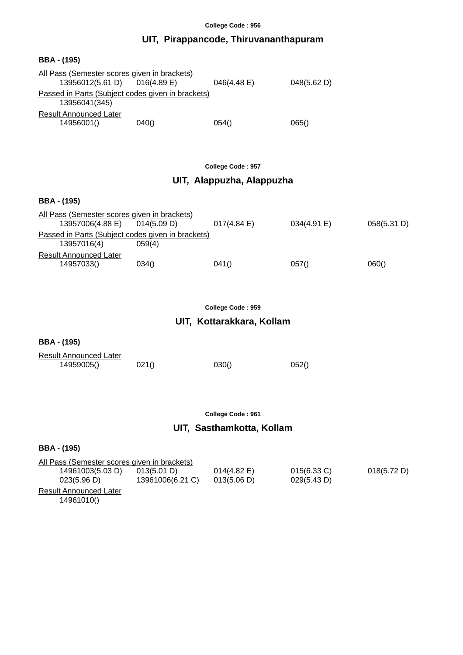# **UIT, Pirappancode, Thiruvananthapuram**

### **BBA - (195)**

| All Pass (Semester scores given in brackets)                       |             |             |             |
|--------------------------------------------------------------------|-------------|-------------|-------------|
| 13956012(5.61 D)                                                   | 016(4.89 E) | 046(4.48 E) | 048(5.62 D) |
| Passed in Parts (Subject codes given in brackets)<br>13956041(345) |             |             |             |
| <b>Result Announced Later</b>                                      |             |             |             |
| 14956001()                                                         | 040()       | 054()       | 065()       |

**College Code : 957**

# **UIT, Alappuzha, Alappuzha**

### **BBA - (195)**

| All Pass (Semester scores given in brackets)      |             |           |             |             |  |
|---------------------------------------------------|-------------|-----------|-------------|-------------|--|
| 13957006(4.88 E)                                  | 014(5.09 D) | 017(4.84) | 034(4.91 E) | 058(5.31 D) |  |
| Passed in Parts (Subject codes given in brackets) |             |           |             |             |  |
| 13957016(4)                                       | 059(4)      |           |             |             |  |
| Result Announced Later                            |             |           |             |             |  |
| 14957033()                                        | 034()       | 041()     | 057()       | 060()       |  |

**College Code : 959**

## **UIT, Kottarakkara, Kollam**

### **BBA - (195)**

| <b>Result Announced Later</b> |       |       |       |
|-------------------------------|-------|-------|-------|
| 14959005()                    | 021() | 030() | 052() |

**College Code : 961**

# **UIT, Sasthamkotta, Kollam**

| All Pass (Semester scores given in brackets) |                  |                       |                |             |
|----------------------------------------------|------------------|-----------------------|----------------|-------------|
| 14961003(5.03 D)                             | 013(5.01 D)      | $014(4.82 \text{ E})$ | $015(6.33)$ C) | 018(5.72 D) |
| 023(5.96 D)                                  | 13961006(6.21 C) | 013(5.06 D)           | 029(5.43 D)    |             |
| Result Announced Later                       |                  |                       |                |             |
| 14961010()                                   |                  |                       |                |             |